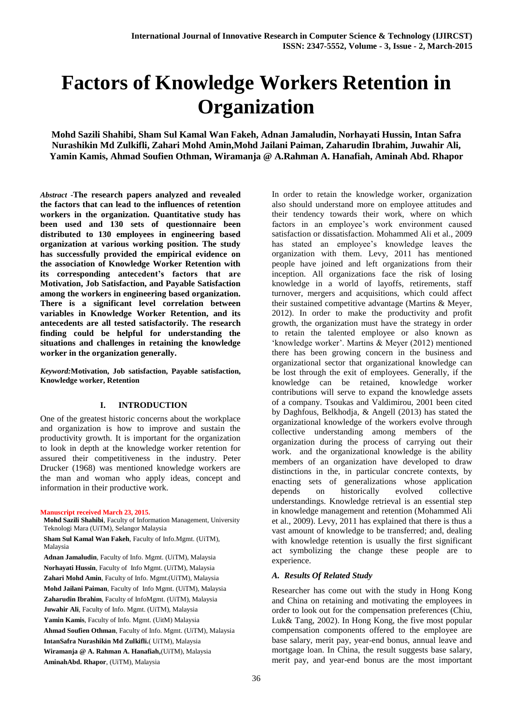# **Factors of Knowledge Workers Retention in Organization**

**Mohd Sazili Shahibi, Sham Sul Kamal Wan Fakeh, Adnan Jamaludin, Norhayati Hussin, Intan Safra Nurashikin Md Zulkifli, Zahari Mohd Amin,Mohd Jailani Paiman, Zaharudin Ibrahim, Juwahir Ali, Yamin Kamis, Ahmad Soufien Othman, Wiramanja @ A.Rahman A. Hanafiah, Aminah Abd. Rhapor**

*Abstract* **-The research papers analyzed and revealed the factors that can lead to the influences of retention workers in the organization. Quantitative study has been used and 130 sets of questionnaire been distributed to 130 employees in engineering based organization at various working position. The study has successfully provided the empirical evidence on the association of Knowledge Worker Retention with its corresponding antecedent's factors that are Motivation, Job Satisfaction, and Payable Satisfaction among the workers in engineering based organization. There is a significant level correlation between variables in Knowledge Worker Retention, and its antecedents are all tested satisfactorily. The research finding could be helpful for understanding the situations and challenges in retaining the knowledge worker in the organization generally.** 

*Keyword:***Motivation, Job satisfaction, Payable satisfaction, Knowledge worker, Retention**

# **I. INTRODUCTION**

One of the greatest historic concerns about the workplace and organization is how to improve and sustain the productivity growth. It is important for the organization to look in depth at the knowledge worker retention for assured their competitiveness in the industry. Peter Drucker (1968) was mentioned knowledge workers are the man and woman who apply ideas, concept and information in their productive work.

#### **Manuscript received March 23, 2015.**

 **Mohd Sazili Shahibi**, Faculty of Information Management, University Teknologi Mara (UiTM), Selangor Malaysia

 **Sham Sul Kamal Wan Fakeh**, Faculty of Info.Mgmt. (UiTM), Malaysia

 **Adnan Jamaludin**, Faculty of Info. Mgmt. (UiTM), Malaysia **Norhayati Hussin**, Faculty of Info Mgmt. (UiTM), Malaysia **Zahari Mohd Amin**, Faculty of Info. Mgmt.(UiTM), Malaysia **Mohd Jailani Paiman**, Faculty of Info Mgmt. (UiTM), Malaysia **Zaharudin Ibrahim**, Faculty of InfoMgmt. (UiTM), Malaysia  **Juwahir Ali**, Faculty of Info. Mgmt. (UiTM), Malaysia **Yamin Kamis**, Faculty of Info. Mgmt. (UitM) Malaysia **Ahmad Soufien Othman**, Faculty of Info. Mgmt. (UiTM), Malaysia **IntanSafra Nurashikin Md Zulkifli.**( UiTM), Malaysia **Wiramanja @ A. Rahman A. Hanafiah,**(UiTM), Malaysia **AminahAbd. Rhapor**, (UiTM), Malaysia

In order to retain the knowledge worker, organization also should understand more on employee attitudes and their tendency towards their work, where on which factors in an employee's work environment caused satisfaction or dissatisfaction. Mohammed Ali et al., 2009 has stated an employee's knowledge leaves the organization with them. Levy, 2011 has mentioned people have joined and left organizations from their inception. All organizations face the risk of losing knowledge in a world of layoffs, retirements, staff turnover, mergers and acquisitions, which could affect their sustained competitive advantage (Martins & Meyer, 2012). In order to make the productivity and profit growth, the organization must have the strategy in order to retain the talented employee or also known as 'knowledge worker'. Martins & Meyer (2012) mentioned there has been growing concern in the business and organizational sector that organizational knowledge can be lost through the exit of employees. Generally, if the knowledge can be retained, knowledge worker contributions will serve to expand the knowledge assets of a company. Tsoukas and Valdimirou, 2001 been cited by Daghfous, Belkhodja, & Angell (2013) has stated the organizational knowledge of the workers evolve through collective understanding among members of the organization during the process of carrying out their work. and the organizational knowledge is the ability members of an organization have developed to draw distinctions in the, in particular concrete contexts, by enacting sets of generalizations whose application depends on historically evolved collective understandings. Knowledge retrieval is an essential step in knowledge management and retention (Mohammed Ali et al., 2009). Levy, 2011 has explained that there is thus a vast amount of knowledge to be transferred; and, dealing with knowledge retention is usually the first significant act symbolizing the change these people are to experience.

## *A. Results Of Related Study*

Researcher has come out with the study in Hong Kong and China on retaining and motivating the employees in order to look out for the compensation preferences (Chiu, Luk& Tang, 2002). In Hong Kong, the five most popular compensation components offered to the employee are base salary, merit pay, year-end bonus, annual leave and mortgage loan. In China, the result suggests base salary, merit pay, and year-end bonus are the most important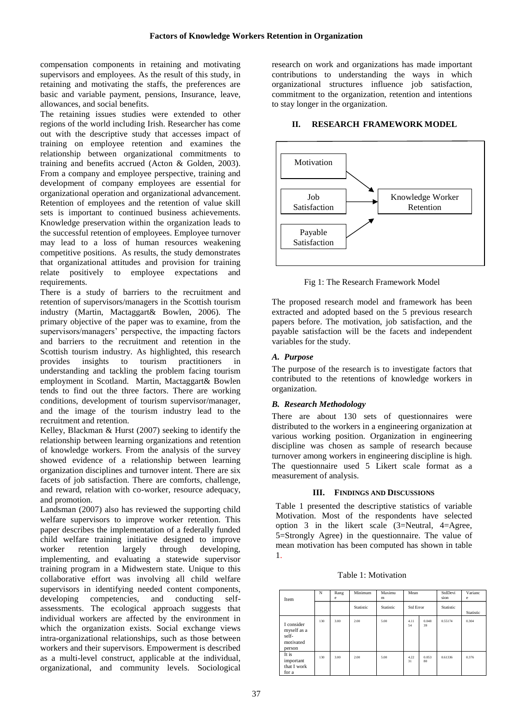compensation components in retaining and motivating supervisors and employees. As the result of this study, in retaining and motivating the staffs, the preferences are basic and variable payment, pensions, Insurance, leave, allowances, and social benefits.

The retaining issues studies were extended to other regions of the world including Irish. Researcher has come out with the descriptive study that accesses impact of training on employee retention and examines the relationship between organizational commitments to training and benefits accrued (Acton & Golden, 2003). From a company and employee perspective, training and development of company employees are essential for organizational operation and organizational advancement. Retention of employees and the retention of value skill sets is important to continued business achievements. Knowledge preservation within the organization leads to the successful retention of employees. Employee turnover may lead to a loss of human resources weakening competitive positions. As results, the study demonstrates that organizational attitudes and provision for training relate positively to employee expectations and requirements.

There is a study of barriers to the recruitment and retention of supervisors/managers in the Scottish tourism industry (Martin, Mactaggart& Bowlen, 2006). The primary objective of the paper was to examine, from the supervisors/managers' perspective, the impacting factors and barriers to the recruitment and retention in the Scottish tourism industry. As highlighted, this research provides insights to tourism practitioners in understanding and tackling the problem facing tourism employment in Scotland. Martin, Mactaggart& Bowlen tends to find out the three factors. There are working conditions, development of tourism supervisor/manager, and the image of the tourism industry lead to the recruitment and retention.

Kelley, Blackman & Hurst (2007) seeking to identify the relationship between learning organizations and retention of knowledge workers. From the analysis of the survey showed evidence of a relationship between learning organization disciplines and turnover intent. There are six facets of job satisfaction. There are comforts, challenge, and reward, relation with co-worker, resource adequacy, and promotion.

Landsman (2007) also has reviewed the supporting child welfare supervisors to improve worker retention. This paper describes the implementation of a federally funded child welfare training initiative designed to improve worker retention largely through developing, implementing, and evaluating a statewide supervisor training program in a Midwestern state. Unique to this collaborative effort was involving all child welfare supervisors in identifying needed content components, developing competencies, and conducting selfassessments. The ecological approach suggests that individual workers are affected by the environment in which the organization exists. Social exchange views intra-organizational relationships, such as those between workers and their supervisors. Empowerment is described as a multi-level construct, applicable at the individual, organizational, and community levels. Sociological

research on work and organizations has made important contributions to understanding the ways in which organizational structures influence job satisfaction, commitment to the organization, retention and intentions to stay longer in the organization.

## **II. RESEARCH FRAMEWORK MODEL**



Fig 1: The Research Framework Model

The proposed research model and framework has been extracted and adopted based on the 5 previous research papers before. The motivation, job satisfaction, and the payable satisfaction will be the facets and independent variables for the study.

# *A. Purpose*

The purpose of the research is to investigate factors that contributed to the retentions of knowledge workers in organization.

# *B. Research Methodology*

There are about 130 sets of questionnaires were distributed to the workers in a engineering organization at various working position. Organization in engineering discipline was chosen as sample of research because turnover among workers in engineering discipline is high. The questionnaire used 5 Likert scale format as a measurement of analysis.

## **III. FINDINGS AND DISCUSSIONS**

Table 1 presented the descriptive statistics of variable Motivation. Most of the respondents have selected option 3 in the likert scale (3=Neutral, 4=Agree, 5=Strongly Agree) in the questionnaire. The value of mean motivation has been computed has shown in table 1.

| Table 1: Motivation |  |  |  |
|---------------------|--|--|--|
|---------------------|--|--|--|

| Item                                                      | N   | Rang<br>e | Minimum   | Maximu<br>m | Mean<br><b>Std Error</b> |             | StdDevi<br>sion | Varianc<br>e |
|-----------------------------------------------------------|-----|-----------|-----------|-------------|--------------------------|-------------|-----------------|--------------|
|                                                           |     |           | Statistic | Statistic   |                          |             | Statistic       | Statistic    |
| I consider<br>myself as a<br>self-<br>motivated<br>person | 130 | 3.00      | 2.00      | 5.00        | 4.11<br>54               | 0.048<br>39 | 0.55174         | 0.304        |
| It is<br>important<br>that I work<br>for a                | 130 | 3.00      | 2.00      | 5.00        | 4.22<br>31               | 0.053<br>80 | 0.61336         | 0.376        |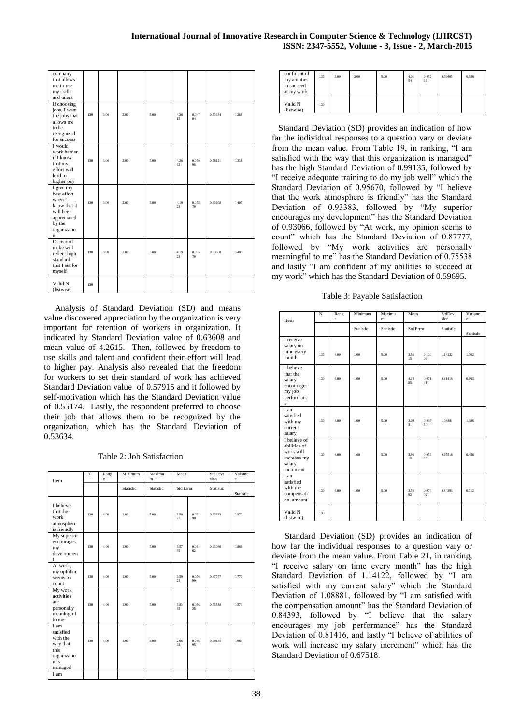| company<br>that allows<br>me to use<br>my skills<br>and talent                                                         |     |      |      |      |            |             |         |       |
|------------------------------------------------------------------------------------------------------------------------|-----|------|------|------|------------|-------------|---------|-------|
| If choosing<br>jobs, I want<br>the jobs that<br>allows me<br>to be<br>recognized<br>for success                        | 130 | 3.00 | 2.00 | 5.00 | 4.26<br>15 | 0.047<br>04 | 0.53634 | 0.288 |
| I would<br>work harder<br>if I know<br>that my<br>effort will<br>lead to<br>higher pay                                 | 130 | 3.00 | 2.00 | 5.00 | 4.26<br>92 | 0.050<br>98 | 0.58121 | 0.338 |
| I give my<br>best effort<br>when I<br>know that it<br>will been<br>appreciated<br>by the<br>organizatio<br>$\mathbf n$ | 130 | 3.00 | 2.00 | 5.00 | 4.19<br>23 | 0.055<br>79 | 0.63608 | 0.405 |
| Decision I<br>make will<br>reflect high<br>standard<br>that I set for<br>myself                                        | 130 | 3.00 | 2.00 | 5.00 | 4.19<br>23 | 0.055<br>79 | 0.63608 | 0.405 |
| Valid N<br>(listwise)                                                                                                  | 130 |      |      |      |            |             |         |       |

 Analysis of Standard Deviation (SD) and means value discovered appreciation by the organization is very important for retention of workers in organization. It indicated by Standard Deviation value of 0.63608 and mean value of 4.2615. Then, followed by freedom to use skills and talent and confident their effort will lead to higher pay. Analysis also revealed that the freedom for workers to set their standard of work has achieved Standard Deviation value of 0.57915 and it followed by self-motivation which has the Standard Deviation value of 0.55174. Lastly, the respondent preferred to choose their job that allows them to be recognized by the organization, which has the Standard Deviation of 0.53634.

Table 2: Job Satisfaction

| Item                                                                                | N   | Rang<br>e | Minimum   | Maximu<br>m | Mean<br><b>Std Error</b> |             | StdDevi<br>sion | Varianc<br>e |
|-------------------------------------------------------------------------------------|-----|-----------|-----------|-------------|--------------------------|-------------|-----------------|--------------|
|                                                                                     |     |           | Statistic | Statistic   |                          |             | Statistic       | Statistic    |
| I believe<br>that the<br>work<br>atmosphere<br>is friendly                          | 130 | 4.00      | 1.00      | 5.00        | 3.50<br>77               | 0.081<br>90 | 0.93383         | 0.872        |
| My superior<br>encourages<br>my<br>developmen<br>t                                  | 130 | 4.00      | 1.00      | 5.00        | 3.57<br>69               | 0.081<br>62 | 0.93066         | 0.866        |
| At work,<br>my opinion<br>seems to<br>count                                         | 130 | 4.00      | 1.00      | 5.00        | 3.59<br>23               | 0.076<br>99 | 0.87777         | 0.770        |
| My work<br>activities<br>are<br>personally<br>meaningful<br>to me                   | 130 | 4.00      | 1.00      | 5.00        | 3.83<br>85               | 0.066<br>25 | 0.75538         | 0.571        |
| I am<br>satisfied<br>with the<br>way that<br>this<br>organizatio<br>n is<br>managed | 130 | 4.00      | 1.00      | 5.00        | 2.66<br>92               | 0.086<br>95 | 0.99135         | 0.983        |
| I am                                                                                |     |           |           |             |                          |             |                 |              |

| confident of<br>my abilities<br>to succeed<br>at my work | 130 | 3.00 | 2.00 | 5.00 | 4.01<br>54 | 0.052<br>36 | 0.59695 | 0.356 |
|----------------------------------------------------------|-----|------|------|------|------------|-------------|---------|-------|
| Valid N<br>(listwise)                                    | 130 |      |      |      |            |             |         |       |

 Standard Deviation (SD) provides an indication of how far the individual responses to a question vary or deviate from the mean value. From Table 19, in ranking, "I am satisfied with the way that this organization is managed" has the high Standard Deviation of 0.99135, followed by "I receive adequate training to do my job well" which the Standard Deviation of 0.95670, followed by "I believe that the work atmosphere is friendly" has the Standard Deviation of 0.93383, followed by "My superior encourages my development" has the Standard Deviation of 0.93066, followed by "At work, my opinion seems to count" which has the Standard Deviation of 0.87777, followed by "My work activities are personally meaningful to me" has the Standard Deviation of 0.75538 and lastly "I am confident of my abilities to succeed at my work" which has the Standard Deviation of 0.59695.

Table 3: Payable Satisfaction

| Item                                                                            | N   | Rang<br>e | Minimum   | Maximu<br>m      | Mean       |             | StdDevi<br>sion | Varianc<br>e |
|---------------------------------------------------------------------------------|-----|-----------|-----------|------------------|------------|-------------|-----------------|--------------|
|                                                                                 |     |           | Statistic | <b>Statistic</b> | Std Error  |             | Statistic       | Statistic    |
| I receive<br>salary on<br>time every<br>month                                   | 130 | 4.00      | 1.00      | 5.00             | 3.56<br>15 | 0.100<br>09 | 1.14122         | 1.302        |
| I believe<br>that the<br>salary<br>encourages<br>my job<br>performanc<br>e      | 130 | 4.00      | 1.00      | 5.00             | 4.13<br>85 | 0.071<br>41 | 0.81416         | 0.663        |
| I am<br>satisfied<br>with my<br>current<br>salary                               | 130 | 4.00      | 1.00      | 5.00             | 3.02<br>31 | 0.095<br>50 | 1.08881         | 1.186        |
| I believe of<br>abilities of<br>work will<br>increase my<br>salary<br>increment | 130 | 4.00      | 1.00      | 5.00             | 3.96<br>15 | 0.059<br>22 | 0.67518         | 0.456        |
| I am<br>satisfied<br>with the<br>compensati<br>on amount                        | 130 | 4.00      | 1.00      | 5.00             | 3.56<br>92 | 0.074<br>02 | 0.84393         | 0.712        |
| Valid N<br>(listwise)                                                           | 130 |           |           |                  |            |             |                 |              |

 Standard Deviation (SD) provides an indication of how far the individual responses to a question vary or deviate from the mean value. From Table 21, in ranking, "I receive salary on time every month" has the high Standard Deviation of 1.14122, followed by "I am satisfied with my current salary" which the Standard Deviation of 1.08881, followed by "I am satisfied with the compensation amount" has the Standard Deviation of 0.84393, followed by "I believe that the salary encourages my job performance" has the Standard Deviation of 0.81416, and lastly "I believe of abilities of work will increase my salary increment" which has the Standard Deviation of 0.67518.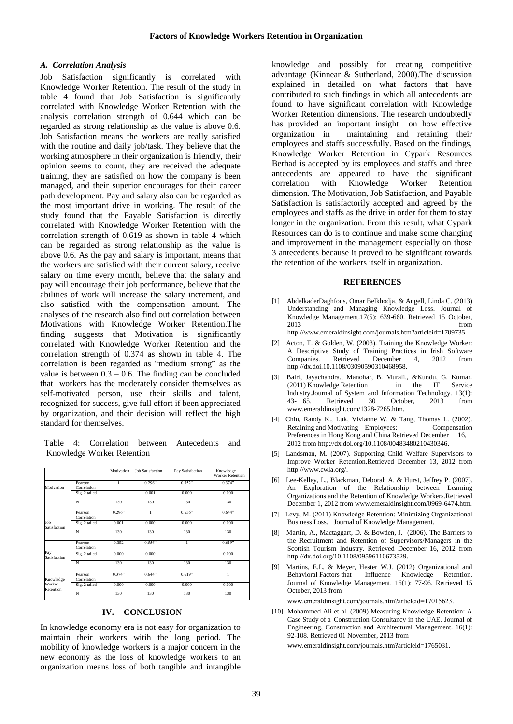## *A. Correlation Analysis*

Job Satisfaction significantly is correlated with Knowledge Worker Retention. The result of the study in table 4 found that Job Satisfaction is significantly correlated with Knowledge Worker Retention with the analysis correlation strength of 0.644 which can be regarded as strong relationship as the value is above 0.6. Job Satisfaction means the workers are really satisfied with the routine and daily job/task. They believe that the working atmosphere in their organization is friendly, their opinion seems to count, they are received the adequate training, they are satisfied on how the company is been managed, and their superior encourages for their career path development. Pay and salary also can be regarded as the most important drive in working. The result of the study found that the Payable Satisfaction is directly correlated with Knowledge Worker Retention with the correlation strength of 0.619 as shown in table 4 which can be regarded as strong relationship as the value is above 0.6. As the pay and salary is important, means that the workers are satisfied with their current salary, receive salary on time every month, believe that the salary and pay will encourage their job performance, believe that the abilities of work will increase the salary increment, and also satisfied with the compensation amount. The analyses of the research also find out correlation between Motivations with Knowledge Worker Retention.The finding suggests that Motivation is significantly correlated with Knowledge Worker Retention and the correlation strength of 0.374 as shown in table 4. The correlation is been regarded as "medium strong" as the value is between  $0.3 - 0.6$ . The finding can be concluded that workers has the moderately consider themselves as self-motivated person, use their skills and talent, recognized for success, give full effort if been appreciated by organization, and their decision will reflect the high standard for themselves.

Table 4: Correlation between Antecedents and Knowledge Worker Retention

|                     |                        | Motivation | <b>Job Satisfaction</b> | Pay Satisfaction | Knowledge<br><b>Worker Retention</b> |
|---------------------|------------------------|------------|-------------------------|------------------|--------------------------------------|
| Motivation          | Pearson<br>Correlation | 1          | 0.296"                  | 0.352"           | 0.374"                               |
|                     | Sig. 2 tailed          |            | 0.001                   | 0.000            | 0.000                                |
|                     | N                      | 130        | 130                     | 130              | 130                                  |
|                     | Pearson<br>Correlation | 0.296"     | 1                       | 0.556"           | 0.644"                               |
| Job<br>Satisfaction | Sig. 2 tailed          | 0.001      | 0.000                   | 0.000            | 0.000                                |
|                     | N                      | 130        | 130                     | 130              | 130                                  |
|                     | Pearson<br>Correlation | 0.352      | 0.556"                  | 1                | 0.619"                               |
| Pay<br>Satisfaction | Sig. 2 tailed          | 0.000      | 0.000                   |                  | 0.000                                |
|                     | N                      | 130        | 130                     | 130              | 130                                  |
| Knowledge           | Pearson<br>Correlation | 0.374"     | 0.644"                  | 0.619"           | 1                                    |
| Worker<br>Retention | Sig. 2 tailed          | 0.000      | 0.000                   | 0.000            | 0.000                                |
|                     | N                      | 130        | 130                     | 130              | 130                                  |

## **IV. CONCLUSION**

In knowledge economy era is not easy for organization to maintain their workers witih the long period. The mobility of knowledge workers is a major concern in the new economy as the loss of knowledge workers to an organization means loss of both tangible and intangible

knowledge and possibly for creating competitive advantage (Kinnear & Sutherland, 2000).The discussion explained in detailed on what factors that have contributed to such findings in which all antecedents are found to have significant correlation with Knowledge Worker Retention dimensions. The research undoubtedly has provided an important insight on how effective organization in maintaining and retaining their employees and staffs successfully. Based on the findings, Knowledge Worker Retention in Cypark Resources Berhad is accepted by its employees and staffs and three antecedents are appeared to have the significant correlation with Knowledge Worker Retention dimension. The Motivation, Job Satisfaction, and Payable Satisfaction is satisfactorily accepted and agreed by the employees and staffs as the drive in order for them to stay longer in the organization. From this result, what Cypark Resources can do is to continue and make some changing and improvement in the management especially on those 3 antecedents because it proved to be significant towards the retention of the workers itself in organization.

#### **REFERENCES**

- [1] AbdelkaderDaghfous, Omar Belkhodja, & Angell, Linda C. (2013) Understanding and Managing Knowledge Loss. Journal of Knowledge Management.17(5): 639-660. Retrieved 15 October, 2013 from http://www.emeraldinsight.com/journals.htm?articleid=1709735
- [2] Acton, T. & Golden, W. (2003). Training the Knowledge Worker: A Descriptive Study of Training Practices in Irish Software Companies. Retrieved December 4, 2012 from http://dx.doi.10.1108/03090590310468958.
- [3] Bairi, Jayachandra., Manohar, B. Murali., &Kundu, G. Kumar. (2011) Knowledge Retention in the IT Service Industry.Journal of System and Information Technology. 13(1):<br>43- 65. Retrieved 30 October, 2013 from 43- 65. Retrieved 30 October, 2013 from www.emeraldinsight.com/1328-7265.htm.
- [4] Chiu, Randy K., Luk, Vivianne W. & Tang, Thomas L. (2002). Retaining and Motivating Employees: Compensation Preferences in Hong Kong and China Retrieved December 16, 2012 from http://dx.doi.org/10.1108/00483480210430346.
- [5] Landsman, M. (2007). Supporting Child Welfare Supervisors to Improve Worker Retention.Retrieved December 13, 2012 from http://www.cwla.org/.
- [6] Lee-Kelley, L., Blackman, Deborah A. & Hurst, Jeffrey P. (2007). An Exploration of the Relationship between Learning Organizations and the Retention of Knowledge Workers.Retrieved December 1, 2012 fro[m www.emeraldinsight.com/0969-6](http://www.emeraldinsight.com/0969-)474.htm.
- [7] Levy, M. (2011) Knowledge Retention: Minimizing Organizational Business Loss. Journal of Knowledge Management.
- Martin, A., Mactaggart, D. & Bowden, J. (2006). The Barriers to the Recruitment and Retention of Supervisors/Managers in the Scottish Tourism Industry. Retrieved December 16, 2012 from http://dx.doi.org/10.1108/09596110673529.
- Martins, E.L. & Meyer, Hester W.J. (2012) Organizational and Behavioral Factors that Influence Knowledge Retention. Behavioral Factors that Influence Knowledge Retention. Journal of Knowledge Management. 16(1): 77-96. Retrieved 15 October, 2013 from

www.emeraldinsight.com/journals.htm?articleid=17015623.

[10] Mohammed Ali et al. (2009) Measuring Knowledge Retention: A Case Study of a Construction Consultancy in the UAE. Journal of Engineering, Construction and Architectural Management. 16(1): 92-108. Retrieved 01 November, 2013 from

www.emeraldinsight.com/journals.htm?articleid=1765031.